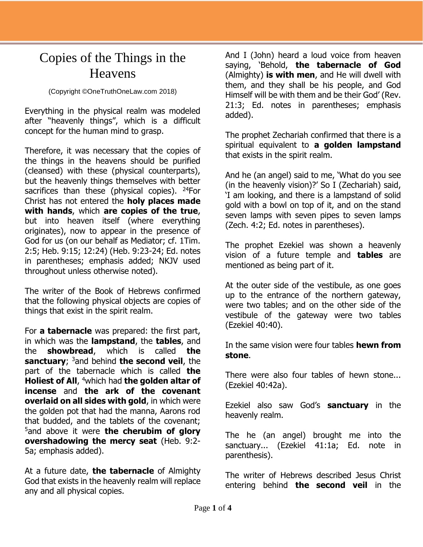## Copies of the Things in the Heavens

## (Copyright ©OneTruthOneLaw.com 2018)

Everything in the physical realm was modeled after "heavenly things", which is a difficult concept for the human mind to grasp.

Therefore, it was necessary that the copies of the things in the heavens should be purified (cleansed) with these (physical counterparts), but the heavenly things themselves with better sacrifices than these (physical copies).  $24$ For Christ has not entered the **holy places made with hands**, which **are copies of the true**, but into heaven itself (where everything originates), now to appear in the presence of God for us (on our behalf as Mediator; cf. 1Tim. 2:5; Heb. 9:15; 12:24) (Heb. 9:23-24; Ed. notes in parentheses; emphasis added; NKJV used throughout unless otherwise noted).

The writer of the Book of Hebrews confirmed that the following physical objects are copies of things that exist in the spirit realm.

For **a tabernacle** was prepared: the first part, in which was the **lampstand**, the **tables**, and the **showbread**, which is called **the sanctuary**; <sup>3</sup>and behind **the second veil**, the part of the tabernacle which is called **the Holiest of All**, <sup>4</sup>which had **the golden altar of incense** and **the ark of the covenant overlaid on all sides with gold**, in which were the golden pot that had the manna, Aarons rod that budded, and the tablets of the covenant; <sup>5</sup>and above it were **the cherubim of glory overshadowing the mercy seat** (Heb. 9:2- 5a; emphasis added).

At a future date, **the tabernacle** of Almighty God that exists in the heavenly realm will replace any and all physical copies.

And I (John) heard a loud voice from heaven saying, 'Behold, **the tabernacle of God** (Almighty) **is with men**, and He will dwell with them, and they shall be his people, and God Himself will be with them and be their God' (Rev. 21:3; Ed. notes in parentheses; emphasis added).

The prophet Zechariah confirmed that there is a spiritual equivalent to **a golden lampstand** that exists in the spirit realm.

And he (an angel) said to me, 'What do you see (in the heavenly vision)?' So I (Zechariah) said, 'I am looking, and there is a lampstand of solid gold with a bowl on top of it, and on the stand seven lamps with seven pipes to seven lamps (Zech. 4:2; Ed. notes in parentheses).

The prophet Ezekiel was shown a heavenly vision of a future temple and **tables** are mentioned as being part of it.

At the outer side of the vestibule, as one goes up to the entrance of the northern gateway, were two tables; and on the other side of the vestibule of the gateway were two tables (Ezekiel 40:40).

In the same vision were four tables **hewn from stone**.

There were also four tables of hewn stone... (Ezekiel 40:42a).

Ezekiel also saw God's **sanctuary** in the heavenly realm.

The he (an angel) brought me into the sanctuary... (Ezekiel 41:1a; Ed. note in parenthesis).

The writer of Hebrews described Jesus Christ entering behind **the second veil** in the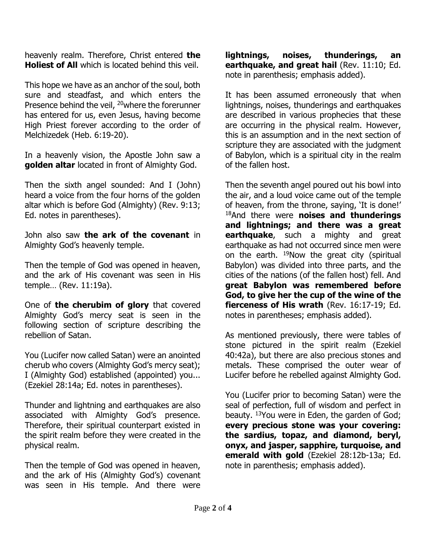heavenly realm. Therefore, Christ entered **the Holiest of All** which is located behind this veil.

This hope we have as an anchor of the soul, both sure and steadfast, and which enters the Presence behind the veil, <sup>20</sup>where the forerunner has entered for us, even Jesus, having become High Priest forever according to the order of Melchizedek (Heb. 6:19-20).

In a heavenly vision, the Apostle John saw a **golden altar** located in front of Almighty God.

Then the sixth angel sounded: And I (John) heard a voice from the four horns of the golden altar which is before God (Almighty) (Rev. 9:13; Ed. notes in parentheses).

John also saw **the ark of the covenant** in Almighty God's heavenly temple.

Then the temple of God was opened in heaven, and the ark of His covenant was seen in His temple… (Rev. 11:19a).

One of **the cherubim of glory** that covered Almighty God's mercy seat is seen in the following section of scripture describing the rebellion of Satan.

You (Lucifer now called Satan) were an anointed cherub who covers (Almighty God's mercy seat); I (Almighty God) established (appointed) you... (Ezekiel 28:14a; Ed. notes in parentheses).

Thunder and lightning and earthquakes are also associated with Almighty God's presence. Therefore, their spiritual counterpart existed in the spirit realm before they were created in the physical realm.

Then the temple of God was opened in heaven, and the ark of His (Almighty God's) covenant was seen in His temple. And there were

**lightnings, noises, thunderings, an earthquake, and great hail** (Rev. 11:10; Ed. note in parenthesis; emphasis added).

It has been assumed erroneously that when lightnings, noises, thunderings and earthquakes are described in various prophecies that these are occurring in the physical realm. However, this is an assumption and in the next section of scripture they are associated with the judgment of Babylon, which is a spiritual city in the realm of the fallen host.

Then the seventh angel poured out his bowl into the air, and a loud voice came out of the temple of heaven, from the throne, saying, 'It is done!' <sup>18</sup>And there were **noises and thunderings and lightnings; and there was a great earthquake**, such a mighty and great earthquake as had not occurred since men were on the earth. <sup>19</sup>Now the great city (spiritual Babylon) was divided into three parts, and the cities of the nations (of the fallen host) fell. And **great Babylon was remembered before God, to give her the cup of the wine of the fierceness of His wrath** (Rev. 16:17-19; Ed. notes in parentheses; emphasis added).

As mentioned previously, there were tables of stone pictured in the spirit realm (Ezekiel 40:42a), but there are also precious stones and metals. These comprised the outer wear of Lucifer before he rebelled against Almighty God.

You (Lucifer prior to becoming Satan) were the seal of perfection, full of wisdom and perfect in beauty. <sup>13</sup>You were in Eden, the garden of God; **every precious stone was your covering: the sardius, topaz, and diamond, beryl, onyx, and jasper, sapphire, turquoise, and emerald with gold** (Ezekiel 28:12b-13a; Ed. note in parenthesis; emphasis added).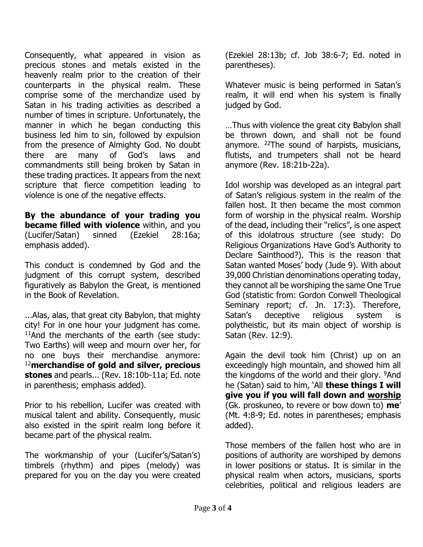Consequently, what appeared in vision as precious stones and metals existed in the heavenly realm prior to the creation of their counterparts in the physical realm. These comprise some of the merchandize used by Satan in his trading activities as described a number of times in scripture. Unfortunately, the manner in which he began conducting this business led him to sin, followed by expulsion from the presence of Almighty God. No doubt there are many of God's laws and commandments still being broken by Satan in these trading practices. It appears from the next scripture that fierce competition leading to violence is one of the negative effects.

**By the abundance of your trading you became filled with violence** within, and you (Lucifer/Satan) sinned (Ezekiel 28:16a; emphasis added).

This conduct is condemned by God and the judgment of this corrupt system, described figuratively as Babylon the Great, is mentioned in the Book of Revelation.

...Alas, alas, that great city Babylon, that mighty city! For in one hour your judgment has come. <sup>11</sup>And the merchants of the earth (see study: Two Earths) will weep and mourn over her, for no one buys their merchandise anymore: <sup>12</sup>**merchandise of gold and silver, precious stones** and pearls... (Rev. 18:10b-11a; Ed. note in parenthesis; emphasis added).

Prior to his rebellion, Lucifer was created with musical talent and ability. Consequently, music also existed in the spirit realm long before it became part of the physical realm.

The workmanship of your (Lucifer's/Satan's) timbrels (rhythm) and pipes (melody) was prepared for you on the day you were created (Ezekiel 28:13b; cf. Job 38:6-7; Ed. noted in parentheses).

Whatever music is being performed in Satan's realm, it will end when his system is finally judged by God.

…Thus with violence the great city Babylon shall be thrown down, and shall not be found anymore. <sup>22</sup>The sound of harpists, musicians, flutists, and trumpeters shall not be heard anymore (Rev. 18:21b-22a).

Idol worship was developed as an integral part of Satan's religious system in the realm of the fallen host. It then became the most common form of worship in the physical realm. Worship of the dead, including their "relics", is one aspect of this idolatrous structure (see study: Do Religious Organizations Have God's Authority to Declare Sainthood?). This is the reason that Satan wanted Moses' body (Jude 9). With about 39,000 Christian denominations operating today, they cannot all be worshiping the same One True God (statistic from: Gordon Conwell Theological Seminary report; cf. Jn. 17:3). Therefore, Satan's deceptive religious system is polytheistic, but its main object of worship is Satan (Rev. 12:9).

Again the devil took him (Christ) up on an exceedingly high mountain, and showed him all the kingdoms of the world and their glory. <sup>9</sup>And he (Satan) said to him, 'All **these things I will give you if you will fall down and worship** (Gk. proskuneo, to revere or bow down to) **me**' (Mt. 4:8-9; Ed. notes in parentheses; emphasis added).

Those members of the fallen host who are in positions of authority are worshiped by demons in lower positions or status. It is similar in the physical realm when actors, musicians, sports celebrities, political and religious leaders are